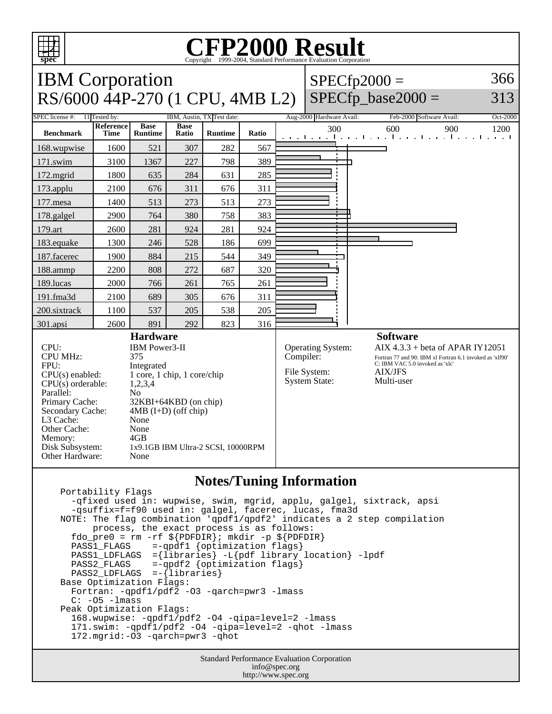

 Portability Flags -qfixed used in: wupwise, swim, mgrid, applu, galgel, sixtrack, apsi -qsuffix=f=f90 used in: galgel, facerec, lucas, fma3d NOTE: The flag combination 'qpdf1/qpdf2' indicates a 2 step compilation process, the exact process is as follows: fdo\_pre0 = rm -rf  $\S{PDFDIR}$ ; mkdir -p  $\S{PDFDIR}$  PASS1\_FLAGS =-qpdf1 {optimization flags} PASS1\_LDFLAGS ={libraries} -L{pdf library location} -lpdf<br>PASS2\_FLAGS =-qpdf2 {optimization flags}  $=$ -qpdf2 {optimization flags} PASS2 LDFLAGS =-{libraries} Base Optimization Flags: Fortran: -qpdf1/pdf2 -O3 -qarch=pwr3 -lmass C: -O5 -lmass Peak Optimization Flags: 168.wupwise: -qpdf1/pdf2 -O4 -qipa=level=2 -lmass 171.swim: -qpdf1/pdf2 -O4 -qipa=level=2 -qhot -lmass 172.mgrid:-O3 -qarch=pwr3 -qhot

> Standard Performance Evaluation Corporation info@spec.org http://www.spec.org